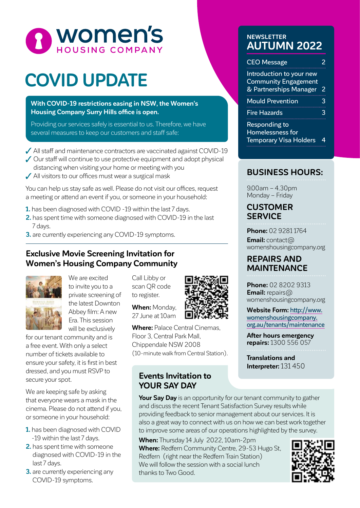

# **COVID UPDATE**

**With COVID-19 restrictions easing in NSW, the Women's Housing Company Surry Hills office is open.**

Providing our services safely is essential to us. Therefore, we have several measures to keep our customers and staff safe:

- All staff and maintenance contractors are vaccinated against COVID-19
- ◆ Our staff will continue to use protective equipment and adopt physical
- distancing when visiting your home or meeting with you
- All visitors to our offices must wear a surgical mask

You can help us stay safe as well. Please do not visit our offices, request a meeting or attend an event if you, or someone in your household:

- **1.** has been diagnosed with COVID -19 within the last 7 days.
- **2.** has spent time with someone diagnosed with COVID-19 in the last 7 days.
- **3.** are currently experiencing any COVID-19 symptoms.

#### **Exclusive Movie Screening Invitation for Women's Housing Company Community**



We are excited to invite you to a private screening of the latest Downton Abbey film: A new Era. This session will be exclusively

for our tenant community and is a free event. With only a select number of tickets available to ensure your safety, it is first in best dressed, and you must RSVP to secure your spot.

We are keeping safe by asking that everyone wears a mask in the cinema. Please do not attend if you, or someone in your household:

- **1.** has been diagnosed with COVID -19 within the last 7 days.
- **2.** has spent time with someone diagnosed with COVID-19 in the last 7 days.
- **3.** are currently experiencing any COVID-19 symptoms.

Call Libby or scan QR code to register.

**When:** Monday, 27 June at 10am



**Where:** Palace Central Cinemas, Floor 3, Central Park Mall, Chippendale NSW 2008 (10-minute walk from Central Station).

#### **Events Invitation to YOUR SAY DAY**

**Your Say Day** is an opportunity for our tenant community to gather and discuss the recent Tenant Satisfaction Survey results while providing feedback to senior management about our services. It is also a great way to connect with us on how we can best work together to improve some areas of our operations highlighted by the survey.

**When:** Thursday 14 July 2022, 10am-2pm **Where:** Redfern Community Centre, 29-53 Hugo St, Redfern (right near the Redfern Train Station) We will follow the session with a social lunch thanks to Two Good.

#### **NEWSLETTER AUTUMN 2022**

| <b>CEO Message</b>                                                                |   |
|-----------------------------------------------------------------------------------|---|
| Introduction to your new<br><b>Community Engagement</b><br>& Partnerships Manager | 2 |
| <b>Mould Prevention</b>                                                           | 3 |
| <b>Fire Hazards</b>                                                               | 3 |
| <b>Responding to</b><br>Homelessness for<br><b>Temporary Visa Holders</b>         |   |

### **BUSINESS HOURS:**

9.00am – 4.30pm Monday – Friday

#### **CUSTOMER SERVICE**

**Phone:** 02 9281 1764

**Email:** contact@ womenshousingcompany.org

#### **REPAIRS AND MAINTENANCE**

**Phone:** 02 8202 9313 **Email:** repairs@ womenshousingcompany.org

**Website Form:** http://www. womenshousingcompany. org.au/tenants/maintenance

**After hours emergency repairs:** 1300 556 057

**Translations and Interpreter:** 131 450

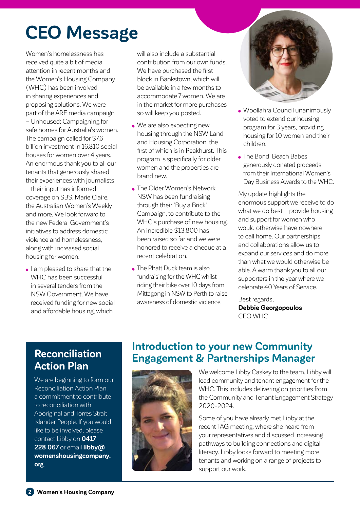# **CEO Message**

Women's homelessness has received quite a bit of media attention in recent months and the Women's Housing Company (WHC) has been involved in sharing experiences and proposing solutions. We were part of the ARE media campaign – Unhoused: Campaigning for safe homes for Australia's women. The campaign called for \$7.6 billion investment in 16,810 social houses for women over 4 years. An enormous thank you to all our tenants that generously shared their experiences with journalists – their input has informed coverage on SBS, Marie Claire, the Australian Women's Weekly and more. We look forward to the new Federal Government's initiatives to address domestic violence and homelessness, along with increased social housing for women.

I am pleased to share that the WHC has been successful in several tenders from the NSW Government. We have received funding for new social and affordable housing, which

will also include a substantial contribution from our own funds. We have purchased the first block in Bankstown, which will be available in a few months to accommodate 7 women. We are in the market for more purchases so will keep you posted.

- We are also expecting new housing through the NSW Land and Housing Corporation, the first of which is in Peakhurst. This program is specifically for older women and the properties are brand new.
- **The Older Women's Network** NSW has been fundraising through their 'Buy a Brick' Campaign, to contribute to the WHC's purchase of new housing. An incredible \$13,800 has been raised so far and we were honored to receive a cheque at a recent celebration.
- The Phatt Duck team is also fundraising for the WHC whilst riding their bike over 10 days from Mittagong in NSW to Perth to raise awareness of domestic violence.



- Woollahra Council unanimously voted to extend our housing program for 3 years, providing housing for 10 women and their children.
- The Bondi Beach Babes generously donated proceeds from their International Women's Day Business Awards to the WHC.

My update highlights the enormous support we receive to do what we do best – provide housing and support for women who would otherwise have nowhere to call home. Our partnerships and collaborations allow us to expand our services and do more than what we would otherwise be able. A warm thank you to all our supporters in the year where we celebrate 40 Years of Service.

Best regards, **Debbie Georgopoulos** CEO WHC

## **Reconciliation Action Plan**

We are beginning to form our Reconciliation Action Plan, a commitment to contribute to reconciliation with Aboriginal and Torres Strait Islander People. If you would like to be involved, please contact Libby on **0417 228 067** or email **libby@ womenshousingcompany. org**.

## **Introduction to your new Community Engagement & Partnerships Manager**



We welcome Libby Caskey to the team. Libby will lead community and tenant engagement for the WHC. This includes delivering on priorities from the Community and Tenant Engagement Strategy 2020-2024.

Some of you have already met Libby at the recent TAG meeting, where she heard from your representatives and discussed increasing pathways to building connections and digital literacy. Libby looks forward to meeting more tenants and working on a range of projects to support our work.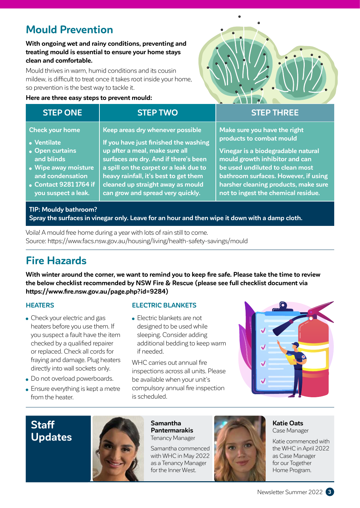# **Mould Prevention**

#### **With ongoing wet and rainy conditions, preventing and treating mould is essential to ensure your home stays clean and comfortable.**

Mould thrives in warm, humid conditions and its cousin mildew, is difficult to treat once it takes root inside your home, so prevention is the best way to tackle it.

#### **Here are three easy steps to prevent mould:**



| <b>STEP ONE</b>        | <b>STEP TWO</b>                        | <b>STEP THREE</b>                    |
|------------------------|----------------------------------------|--------------------------------------|
| <b>Check your home</b> | Keep areas dry whenever possible       | Make sure you have the right         |
| • Ventilate            | If you have just finished the washing  | products to combat mould             |
| • Open curtains        | up after a meal, make sure all         | Vinegar is a biodegradable natural   |
| and blinds             | surfaces are dry. And if there's been  | mould growth inhibitor and can       |
| • Wipe away moisture   | a spill on the carpet or a leak due to | be used undiluted to clean most      |
| and condensation       | heavy rainfall, it's best to get them  | bathroom surfaces. However, if using |
| • Contact 9281 1764 if | cleaned up straight away as mould      | harsher cleaning products, make sure |
| you suspect a leak.    | can grow and spread very quickly.      | not to ingest the chemical residue.  |

### **TIP: Mouldy bathroom?**

**Spray the surfaces in vinegar only. Leave for an hour and then wipe it down with a damp cloth.**

Voila! A mould free home during a year with lots of rain still to come. Source: https://www.facs.nsw.gov.au/housing/living/health-safety-savings/mould

# **Fire Hazards**

**With winter around the corner, we want to remind you to keep fire safe. Please take the time to review the below checklist recommended by NSW Fire & Rescue (please see full checklist document via https://www.fire.nsw.gov.au/page.php?id=9284)** 

#### **HEATERS**

- Check your electric and gas heaters before you use them. If you suspect a fault have the item checked by a qualified repairer or replaced. Check all cords for fraying and damage. Plug heaters directly into wall sockets only.
- Do not overload powerboards.
- Ensure everything is kept a metre from the heater.

#### **ELECTRIC BLANKETS**

• Electric blankets are not designed to be used while sleeping. Consider adding additional bedding to keep warm if needed.

WHC carries out annual fire inspections across all units. Please be available when your unit's compulsory annual fire inspection is scheduled.



## **Staff Updates**



**Samantha Pantermarakis** Tenancy Manager

Samantha commenced with WHC in May 2022 as a Tenancy Manager for the Inner West.



**Katie Oats** Case Manager

Katie commenced with the WHC in April 2022 as Case Manager for our Together Home Program.